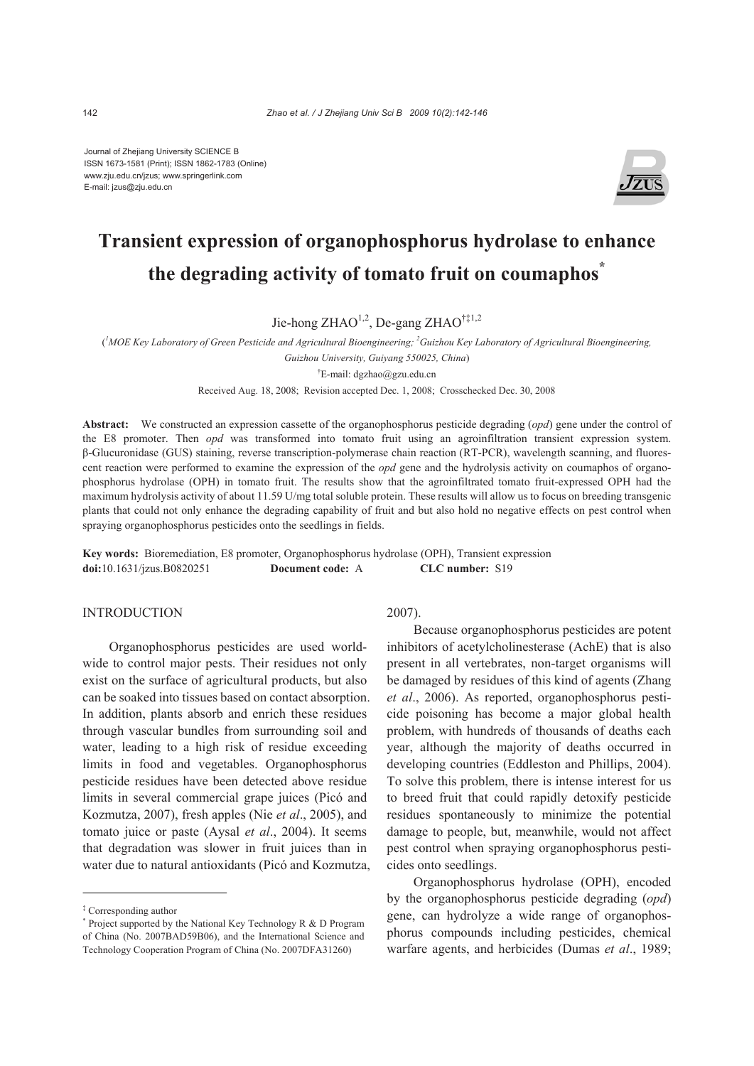Journal of Zhejiang University SCIENCE B ISSN 1673-1581 (Print); ISSN 1862-1783 (Online) www.zju.edu.cn/jzus; www.springerlink.com E-mail: jzus@zju.edu.cn



# **Transient expression of organophosphorus hydrolase to enhance the degrading activity of tomato fruit on coumaphos\***

Jie-hong ZHAO<sup>1,2</sup>, De-gang ZHAO<sup>†‡1,2</sup>

<sup>*l*</sup>MOE Key Laboratory of Green Pesticide and Agricultural Bioengineering; <sup>2</sup>Guizhou Key Laboratory of Agricultural Bioengineering,

*Guizhou University, Guiyang 550025, China*)

† E-mail: dgzhao@gzu.edu.cn

Received Aug. 18, 2008; Revision accepted Dec. 1, 2008; Crosschecked Dec. 30, 2008

**Abstract:** We constructed an expression cassette of the organophosphorus pesticide degrading (*opd*) gene under the control of the E8 promoter. Then *opd* was transformed into tomato fruit using an agroinfiltration transient expression system. β-Glucuronidase (GUS) staining, reverse transcription-polymerase chain reaction (RT-PCR), wavelength scanning, and fluorescent reaction were performed to examine the expression of the *opd* gene and the hydrolysis activity on coumaphos of organophosphorus hydrolase (OPH) in tomato fruit. The results show that the agroinfiltrated tomato fruit-expressed OPH had the maximum hydrolysis activity of about 11.59 U/mg total soluble protein. These results will allow us to focus on breeding transgenic plants that could not only enhance the degrading capability of fruit and but also hold no negative effects on pest control when spraying organophosphorus pesticides onto the seedlings in fields.

**Key words:** Bioremediation, E8 promoter, Organophosphorus hydrolase (OPH), Transient expression **doi:**10.1631/jzus.B0820251 **Document code:** A **CLC number:** S19

## **INTRODUCTION**

Organophosphorus pesticides are used worldwide to control major pests. Their residues not only exist on the surface of agricultural products, but also can be soaked into tissues based on contact absorption. In addition, plants absorb and enrich these residues through vascular bundles from surrounding soil and water, leading to a high risk of residue exceeding limits in food and vegetables. Organophosphorus pesticide residues have been detected above residue limits in several commercial grape juices (Picó and Kozmutza, 2007), fresh apples (Nie *et al*., 2005), and tomato juice or paste (Aysal *et al*., 2004). It seems that degradation was slower in fruit juices than in water due to natural antioxidants (Picó and Kozmutza,

## 2007).

Because organophosphorus pesticides are potent inhibitors of acetylcholinesterase (AchE) that is also present in all vertebrates, non-target organisms will be damaged by residues of this kind of agents (Zhang *et al*., 2006). As reported, organophosphorus pesticide poisoning has become a major global health problem, with hundreds of thousands of deaths each year, although the majority of deaths occurred in developing countries (Eddleston and Phillips, 2004). To solve this problem, there is intense interest for us to breed fruit that could rapidly detoxify pesticide residues spontaneously to minimize the potential damage to people, but, meanwhile, would not affect pest control when spraying organophosphorus pesticides onto seedlings.

Organophosphorus hydrolase (OPH), encoded by the organophosphorus pesticide degrading (*opd*) gene, can hydrolyze a wide range of organophosphorus compounds including pesticides, chemical warfare agents, and herbicides (Dumas *et al*., 1989;

<sup>‡</sup> Corresponding author

<sup>\*</sup> Project supported by the National Key Technology R & D Program of China (No. 2007BAD59B06), and the International Science and Technology Cooperation Program of China (No. 2007DFA31260)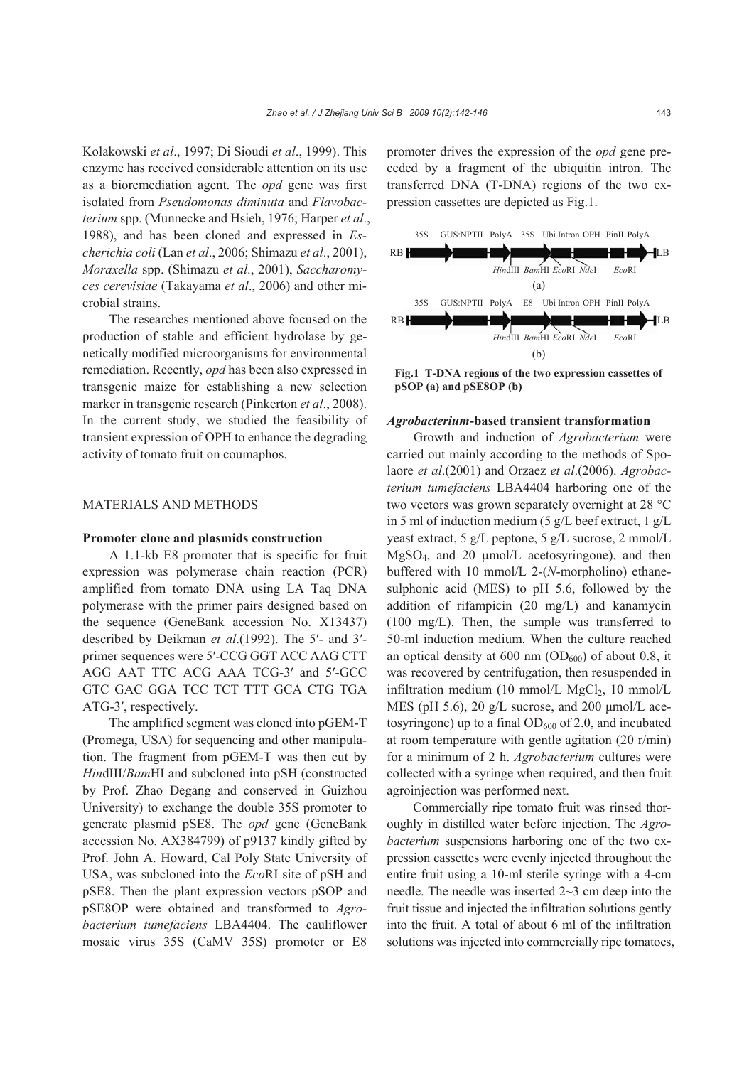Kolakowski *et al*., 1997; Di Sioudi *et al*., 1999). This enzyme has received considerable attention on its use as a bioremediation agent. The *opd* gene was first isolated from *Pseudomonas diminuta* and *Flavobacterium* spp. (Munnecke and Hsieh, 1976; Harper *et al*., 1988), and has been cloned and expressed in *Escherichia coli* (Lan *et al*., 2006; Shimazu *et al*., 2001), *Moraxella* spp. (Shimazu *et al*., 2001), *Saccharomyces cerevisiae* (Takayama *et al*., 2006) and other microbial strains.

The researches mentioned above focused on the production of stable and efficient hydrolase by genetically modified microorganisms for environmental remediation. Recently, *opd* has been also expressed in transgenic maize for establishing a new selection marker in transgenic research (Pinkerton *et al*., 2008). In the current study, we studied the feasibility of transient expression of OPH to enhance the degrading activity of tomato fruit on coumaphos.

## MATERIALS AND METHODS

#### **Promoter clone and plasmids construction**

A 1.1-kb E8 promoter that is specific for fruit expression was polymerase chain reaction (PCR) amplified from tomato DNA using LA Taq DNA polymerase with the primer pairs designed based on the sequence (GeneBank accession No. X13437) described by Deikman *et al*.(1992). The 5′- and 3′ primer sequences were 5′-CCG GGT ACC AAG CTT AGG AAT TTC ACG AAA TCG-3′ and 5′-GCC GTC GAC GGA TCC TCT TTT GCA CTG TGA ATG-3′, respectively.

The amplified segment was cloned into pGEM-T (Promega, USA) for sequencing and other manipulation. The fragment from pGEM-T was then cut by *Hin*dIII/*Bam*HI and subcloned into pSH (constructed by Prof. Zhao Degang and conserved in Guizhou University) to exchange the double 35S promoter to generate plasmid pSE8. The *opd* gene (GeneBank accession No. AX384799) of p9137 kindly gifted by Prof. John A. Howard, Cal Poly State University of USA, was subcloned into the *Eco*RI site of pSH and pSE8. Then the plant expression vectors pSOP and pSE8OP were obtained and transformed to *Agrobacterium tumefaciens* LBA4404. The cauliflower mosaic virus 35S (CaMV 35S) promoter or E8

promoter drives the expression of the *opd* gene preceded by a fragment of the ubiquitin intron. The transferred DNA (T-DNA) regions of the two expression cassettes are depicted as Fig.1.



**Fig.1 T-DNA regions of the two expression cassettes of pSOP (a) and pSE8OP (b)** 

#### *Agrobacterium***-based transient transformation**

Growth and induction of *Agrobacterium* were carried out mainly according to the methods of Spolaore *et al*.(2001) and Orzaez *et al*.(2006). *Agrobacterium tumefaciens* LBA4404 harboring one of the two vectors was grown separately overnight at 28 °C in 5 ml of induction medium (5 g/L beef extract, 1 g/L yeast extract, 5 g/L peptone, 5 g/L sucrose, 2 mmol/L MgSO4, and 20 μmol/L acetosyringone), and then buffered with 10 mmol/L 2-(*N*-morpholino) ethanesulphonic acid (MES) to pH 5.6, followed by the addition of rifampicin (20 mg/L) and kanamycin (100 mg/L). Then, the sample was transferred to 50-ml induction medium. When the culture reached an optical density at 600 nm  $(OD_{600})$  of about 0.8, it was recovered by centrifugation, then resuspended in infiltration medium (10 mmol/L MgCl<sub>2</sub>, 10 mmol/L MES (pH 5.6), 20 g/L sucrose, and 200 μmol/L acetosyringone) up to a final  $OD_{600}$  of 2.0, and incubated at room temperature with gentle agitation (20 r/min) for a minimum of 2 h. *Agrobacterium* cultures were collected with a syringe when required, and then fruit agroinjection was performed next.

Commercially ripe tomato fruit was rinsed thoroughly in distilled water before injection. The *Agrobacterium* suspensions harboring one of the two expression cassettes were evenly injected throughout the entire fruit using a 10-ml sterile syringe with a 4-cm needle. The needle was inserted 2~3 cm deep into the fruit tissue and injected the infiltration solutions gently into the fruit. A total of about 6 ml of the infiltration solutions was injected into commercially ripe tomatoes,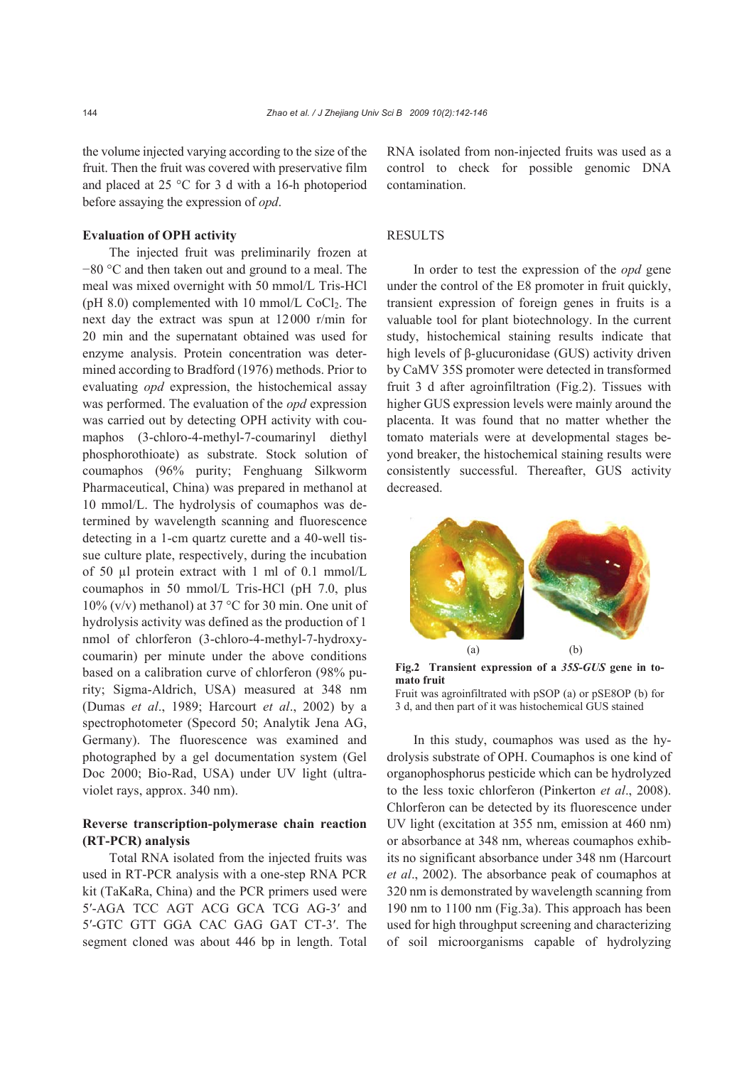the volume injected varying according to the size of the fruit. Then the fruit was covered with preservative film and placed at 25 °C for 3 d with a 16-h photoperiod before assaying the expression of *opd*.

## **Evaluation of OPH activity**

The injected fruit was preliminarily frozen at −80 °C and then taken out and ground to a meal. The meal was mixed overnight with 50 mmol/L Tris-HCl (pH  $8.0$ ) complemented with 10 mmol/L CoCl<sub>2</sub>. The next day the extract was spun at 12000 r/min for 20 min and the supernatant obtained was used for enzyme analysis. Protein concentration was determined according to Bradford (1976) methods. Prior to evaluating *opd* expression, the histochemical assay was performed. The evaluation of the *opd* expression was carried out by detecting OPH activity with coumaphos (3-chloro-4-methyl-7-coumarinyl diethyl phosphorothioate) as substrate. Stock solution of coumaphos (96% purity; Fenghuang Silkworm Pharmaceutical, China) was prepared in methanol at 10 mmol/L. The hydrolysis of coumaphos was determined by wavelength scanning and fluorescence detecting in a 1-cm quartz curette and a 40-well tissue culture plate, respectively, during the incubation of 50 µl protein extract with 1 ml of 0.1 mmol/L coumaphos in 50 mmol/L Tris-HCl (pH 7.0, plus 10% (v/v) methanol) at 37 °C for 30 min. One unit of hydrolysis activity was defined as the production of 1 nmol of chlorferon (3-chloro-4-methyl-7-hydroxycoumarin) per minute under the above conditions based on a calibration curve of chlorferon (98% purity; Sigma-Aldrich, USA) measured at 348 nm (Dumas *et al*., 1989; Harcourt *et al*., 2002) by a spectrophotometer (Specord 50; Analytik Jena AG, Germany). The fluorescence was examined and photographed by a gel documentation system (Gel Doc 2000; Bio-Rad, USA) under UV light (ultraviolet rays, approx. 340 nm).

## **Reverse transcription-polymerase chain reaction (RT-PCR) analysis**

Total RNA isolated from the injected fruits was used in RT-PCR analysis with a one-step RNA PCR kit (TaKaRa, China) and the PCR primers used were 5′-AGA TCC AGT ACG GCA TCG AG-3′ and 5′-GTC GTT GGA CAC GAG GAT CT-3′. The segment cloned was about 446 bp in length. Total RNA isolated from non-injected fruits was used as a control to check for possible genomic DNA contamination.

## **RESULTS**

In order to test the expression of the *opd* gene under the control of the E8 promoter in fruit quickly, transient expression of foreign genes in fruits is a valuable tool for plant biotechnology. In the current study, histochemical staining results indicate that high levels of β-glucuronidase (GUS) activity driven by CaMV 35S promoter were detected in transformed fruit 3 d after agroinfiltration (Fig.2). Tissues with higher GUS expression levels were mainly around the placenta. It was found that no matter whether the tomato materials were at developmental stages beyond breaker, the histochemical staining results were consistently successful. Thereafter, GUS activity decreased.



**Fig.2 Transient expression of a** *35S-GUS* **gene in tomato fruit** 

Fruit was agroinfiltrated with pSOP (a) or pSE8OP (b) for 3 d, and then part of it was histochemical GUS stained

In this study, coumaphos was used as the hydrolysis substrate of OPH. Coumaphos is one kind of organophosphorus pesticide which can be hydrolyzed to the less toxic chlorferon (Pinkerton *et al*., 2008). Chlorferon can be detected by its fluorescence under UV light (excitation at 355 nm, emission at 460 nm) or absorbance at 348 nm, whereas coumaphos exhibits no significant absorbance under 348 nm (Harcourt *et al*., 2002). The absorbance peak of coumaphos at 320 nm is demonstrated by wavelength scanning from 190 nm to 1100 nm (Fig.3a). This approach has been used for high throughput screening and characterizing of soil microorganisms capable of hydrolyzing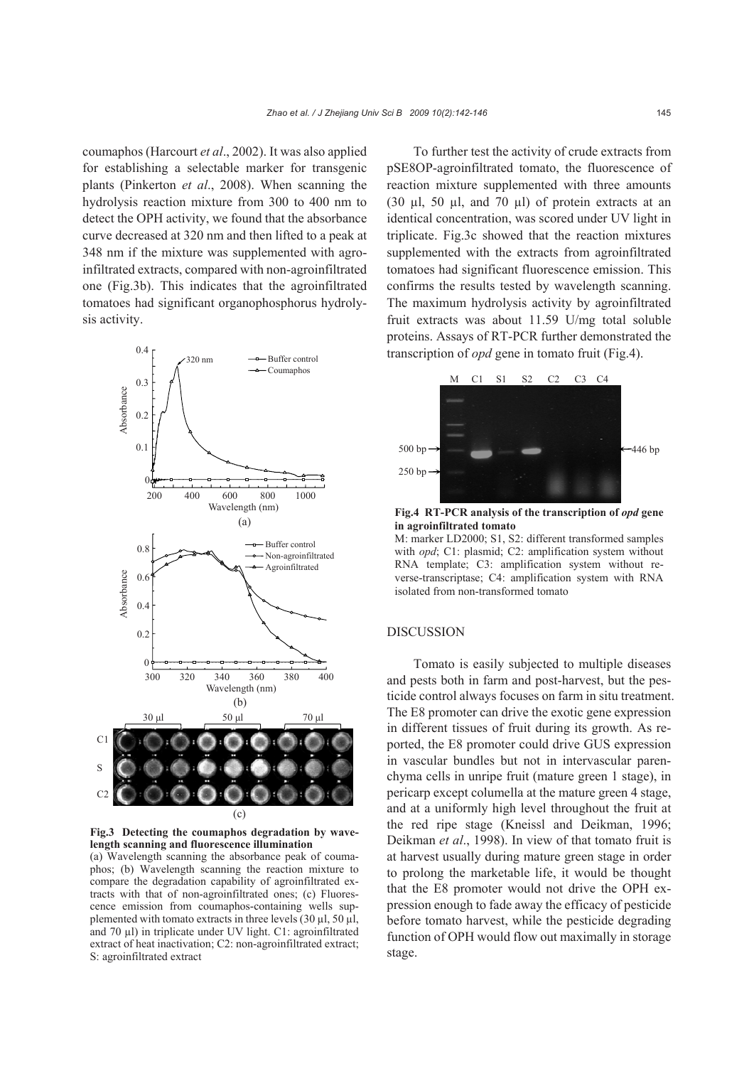coumaphos (Harcourt *et al*., 2002). It was also applied for establishing a selectable marker for transgenic plants (Pinkerton *et al*., 2008). When scanning the hydrolysis reaction mixture from 300 to 400 nm to detect the OPH activity, we found that the absorbance curve decreased at 320 nm and then lifted to a peak at 348 nm if the mixture was supplemented with agroinfiltrated extracts, compared with non-agroinfiltrated one (Fig.3b). This indicates that the agroinfiltrated tomatoes had significant organophosphorus hydrolysis activity.



**Fig.3 Detecting the coumaphos degradation by wavelength scanning and fluorescence illumination**

(a) Wavelength scanning the absorbance peak of coumaphos; (b) Wavelength scanning the reaction mixture to compare the degradation capability of agroinfiltrated extracts with that of non-agroinfiltrated ones; (c) Fluorescence emission from coumaphos-containing wells supplemented with tomato extracts in three levels  $(30 \mu l, 50 \mu l,$ and 70 µl) in triplicate under UV light. C1: agroinfiltrated extract of heat inactivation; C2: non-agroinfiltrated extract; S: agroinfiltrated extract

To further test the activity of crude extracts from pSE8OP-agroinfiltrated tomato, the fluorescence of reaction mixture supplemented with three amounts (30 µl, 50 µl, and 70 µl) of protein extracts at an identical concentration, was scored under UV light in triplicate. Fig.3c showed that the reaction mixtures supplemented with the extracts from agroinfiltrated tomatoes had significant fluorescence emission. This confirms the results tested by wavelength scanning. The maximum hydrolysis activity by agroinfiltrated fruit extracts was about 11.59 U/mg total soluble proteins. Assays of RT-PCR further demonstrated the transcription of *opd* gene in tomato fruit (Fig.4).



**Fig.4 RT-PCR analysis of the transcription of** *opd* **gene in agroinfiltrated tomato** M: marker LD2000; S1, S2: different transformed samples

with *opd*; C1: plasmid; C2: amplification system without RNA template; C3: amplification system without reverse-transcriptase; C4: amplification system with RNA isolated from non-transformed tomato

#### DISCUSSION

Tomato is easily subjected to multiple diseases and pests both in farm and post-harvest, but the pesticide control always focuses on farm in situ treatment. The E8 promoter can drive the exotic gene expression in different tissues of fruit during its growth. As reported, the E8 promoter could drive GUS expression in vascular bundles but not in intervascular parenchyma cells in unripe fruit (mature green 1 stage), in pericarp except columella at the mature green 4 stage, and at a uniformly high level throughout the fruit at the red ripe stage (Kneissl and Deikman, 1996; Deikman *et al*., 1998). In view of that tomato fruit is at harvest usually during mature green stage in order to prolong the marketable life, it would be thought that the E8 promoter would not drive the OPH expression enough to fade away the efficacy of pesticide before tomato harvest, while the pesticide degrading function of OPH would flow out maximally in storage stage.